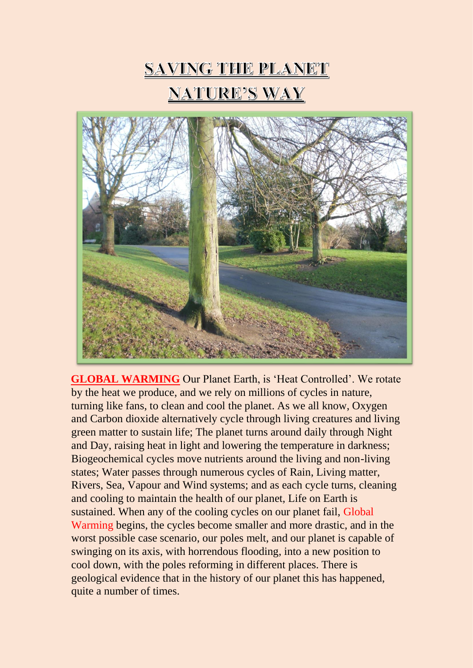



**GLOBAL WARMING** Our Planet Earth, is 'Heat Controlled'. We rotate by the heat we produce, and we rely on millions of cycles in nature, turning like fans, to clean and cool the planet. As we all know, Oxygen and Carbon dioxide alternatively cycle through living creatures and living green matter to sustain life; The planet turns around daily through Night and Day, raising heat in light and lowering the temperature in darkness; Biogeochemical cycles move nutrients around the living and non-living states; Water passes through numerous cycles of Rain, Living matter, Rivers, Sea, Vapour and Wind systems; and as each cycle turns, cleaning and cooling to maintain the health of our planet, Life on Earth is sustained. When any of the cooling cycles on our planet fail, Global Warming begins, the cycles become smaller and more drastic, and in the worst possible case scenario, our poles melt, and our planet is capable of swinging on its axis, with horrendous flooding, into a new position to cool down, with the poles reforming in different places. There is geological evidence that in the history of our planet this has happened, quite a number of times.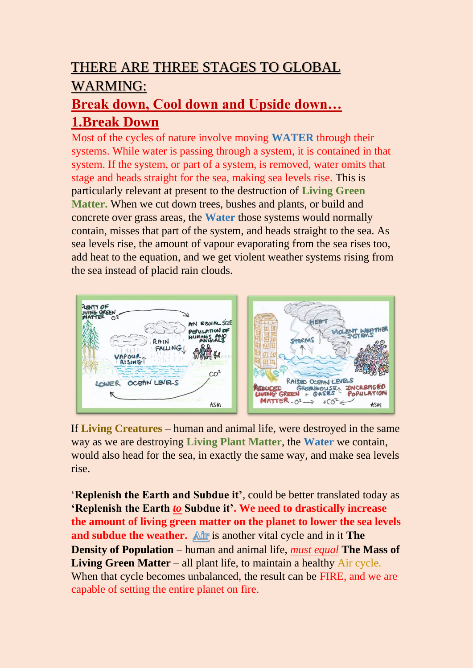## THERE ARE THREE STAGES TO GLOBAL WARMING:

#### **Break down, Cool down and Upside down… 1.Break Down**

Most of the cycles of nature involve moving **WATER** through their systems. While water is passing through a system, it is contained in that system. If the system, or part of a system, is removed, water omits that stage and heads straight for the sea, making sea levels rise. This is particularly relevant at present to the destruction of **Living Green Matter.** When we cut down trees, bushes and plants, or build and concrete over grass areas, the **Water** those systems would normally contain, misses that part of the system, and heads straight to the sea. As sea levels rise, the amount of vapour evaporating from the sea rises too, add heat to the equation, and we get violent weather systems rising from the sea instead of placid rain clouds.



If **Living Creatures** – human and animal life, were destroyed in the same way as we are destroying **Living Plant Matter**, the **Water** we contain, would also head for the sea, in exactly the same way, and make sea levels rise.

'**Replenish the Earth and Subdue it'**, could be better translated today as **'Replenish the Earth** *to* **Subdue it'. We need to drastically increase the amount of living green matter on the planet to lower the sea levels and subdue the weather.** All is another vital cycle and in it **The Density of Population** – human and animal life, *must equal* **The Mass of Living Green Matter** – all plant life, to maintain a healthy Air cycle. When that cycle becomes unbalanced, the result can be FIRE, and we are capable of setting the entire planet on fire.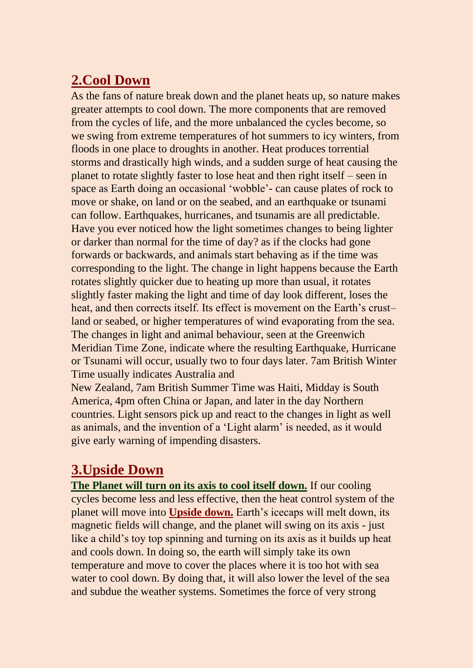### **2.Cool Down**

As the fans of nature break down and the planet heats up, so nature makes greater attempts to cool down. The more components that are removed from the cycles of life, and the more unbalanced the cycles become, so we swing from extreme temperatures of hot summers to icy winters, from floods in one place to droughts in another. Heat produces torrential storms and drastically high winds, and a sudden surge of heat causing the planet to rotate slightly faster to lose heat and then right itself – seen in space as Earth doing an occasional 'wobble'- can cause plates of rock to move or shake, on land or on the seabed, and an earthquake or tsunami can follow. Earthquakes, hurricanes, and tsunamis are all predictable. Have you ever noticed how the light sometimes changes to being lighter or darker than normal for the time of day? as if the clocks had gone forwards or backwards, and animals start behaving as if the time was corresponding to the light. The change in light happens because the Earth rotates slightly quicker due to heating up more than usual, it rotates slightly faster making the light and time of day look different, loses the heat, and then corrects itself. Its effect is movement on the Earth's crust– land or seabed, or higher temperatures of wind evaporating from the sea. The changes in light and animal behaviour, seen at the Greenwich Meridian Time Zone, indicate where the resulting Earthquake, Hurricane or Tsunami will occur, usually two to four days later. 7am British Winter Time usually indicates Australia and

New Zealand, 7am British Summer Time was Haiti, Midday is South America, 4pm often China or Japan, and later in the day Northern countries. Light sensors pick up and react to the changes in light as well as animals, and the invention of a 'Light alarm' is needed, as it would give early warning of impending disasters.

#### **3.Upside Down**

**The Planet will turn on its axis to cool itself down.** If our cooling cycles become less and less effective, then the heat control system of the planet will move into **Upside down.** Earth's icecaps will melt down, its magnetic fields will change, and the planet will swing on its axis - just like a child's toy top spinning and turning on its axis as it builds up heat and cools down. In doing so, the earth will simply take its own temperature and move to cover the places where it is too hot with sea water to cool down. By doing that, it will also lower the level of the sea and subdue the weather systems. Sometimes the force of very strong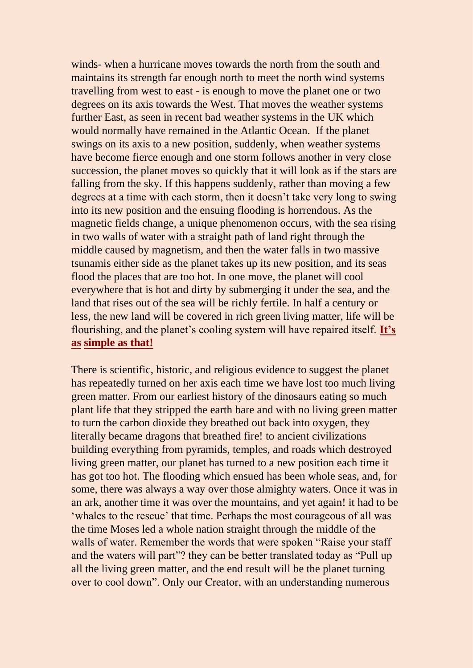winds- when a hurricane moves towards the north from the south and maintains its strength far enough north to meet the north wind systems travelling from west to east - is enough to move the planet one or two degrees on its axis towards the West. That moves the weather systems further East, as seen in recent bad weather systems in the UK which would normally have remained in the Atlantic Ocean. If the planet swings on its axis to a new position, suddenly, when weather systems have become fierce enough and one storm follows another in very close succession, the planet moves so quickly that it will look as if the stars are falling from the sky. If this happens suddenly, rather than moving a few degrees at a time with each storm, then it doesn't take very long to swing into its new position and the ensuing flooding is horrendous. As the magnetic fields change, a unique phenomenon occurs, with the sea rising in two walls of water with a straight path of land right through the middle caused by magnetism, and then the water falls in two massive tsunamis either side as the planet takes up its new position, and its seas flood the places that are too hot. In one move, the planet will cool everywhere that is hot and dirty by submerging it under the sea, and the land that rises out of the sea will be richly fertile. In half a century or less, the new land will be covered in rich green living matter, life will be flourishing, and the planet's cooling system will have repaired itself. **It's as simple as that!**

There is scientific, historic, and religious evidence to suggest the planet has repeatedly turned on her axis each time we have lost too much living green matter. From our earliest history of the dinosaurs eating so much plant life that they stripped the earth bare and with no living green matter to turn the carbon dioxide they breathed out back into oxygen, they literally became dragons that breathed fire! to ancient civilizations building everything from pyramids, temples, and roads which destroyed living green matter, our planet has turned to a new position each time it has got too hot. The flooding which ensued has been whole seas, and, for some, there was always a way over those almighty waters. Once it was in an ark, another time it was over the mountains, and yet again! it had to be 'whales to the rescue' that time. Perhaps the most courageous of all was the time Moses led a whole nation straight through the middle of the walls of water. Remember the words that were spoken "Raise your staff and the waters will part"? they can be better translated today as "Pull up all the living green matter, and the end result will be the planet turning over to cool down". Only our Creator, with an understanding numerous